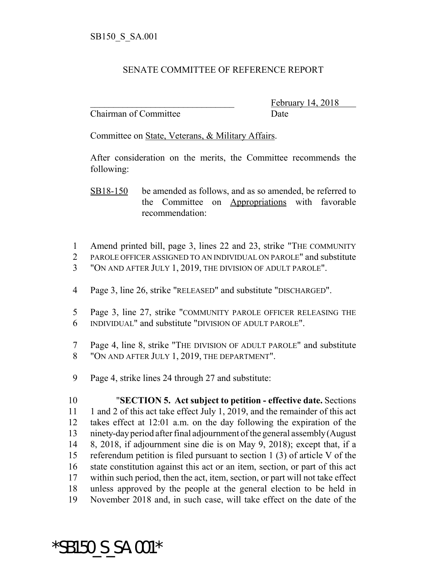## SENATE COMMITTEE OF REFERENCE REPORT

Chairman of Committee Date

February 14, 2018

Committee on State, Veterans, & Military Affairs.

After consideration on the merits, the Committee recommends the following:

SB18-150 be amended as follows, and as so amended, be referred to the Committee on Appropriations with favorable recommendation:

- 1 Amend printed bill, page 3, lines 22 and 23, strike "THE COMMUNITY"
- 2 PAROLE OFFICER ASSIGNED TO AN INDIVIDUAL ON PAROLE" and substitute 3 "ON AND AFTER JULY 1, 2019, THE DIVISION OF ADULT PAROLE".
- 4 Page 3, line 26, strike "RELEASED" and substitute "DISCHARGED".
- 5 Page 3, line 27, strike "COMMUNITY PAROLE OFFICER RELEASING THE 6 INDIVIDUAL" and substitute "DIVISION OF ADULT PAROLE".
- 7 Page 4, line 8, strike "THE DIVISION OF ADULT PAROLE" and substitute 8 "ON AND AFTER JULY 1, 2019, THE DEPARTMENT".
- 9 Page 4, strike lines 24 through 27 and substitute:

\*SB150\_S\_SA.001\*

 "**SECTION 5. Act subject to petition - effective date.** Sections 11 1 and 2 of this act take effect July 1, 2019, and the remainder of this act takes effect at 12:01 a.m. on the day following the expiration of the ninety-day period after final adjournment of the general assembly (August 8, 2018, if adjournment sine die is on May 9, 2018); except that, if a referendum petition is filed pursuant to section 1 (3) of article V of the state constitution against this act or an item, section, or part of this act within such period, then the act, item, section, or part will not take effect unless approved by the people at the general election to be held in November 2018 and, in such case, will take effect on the date of the